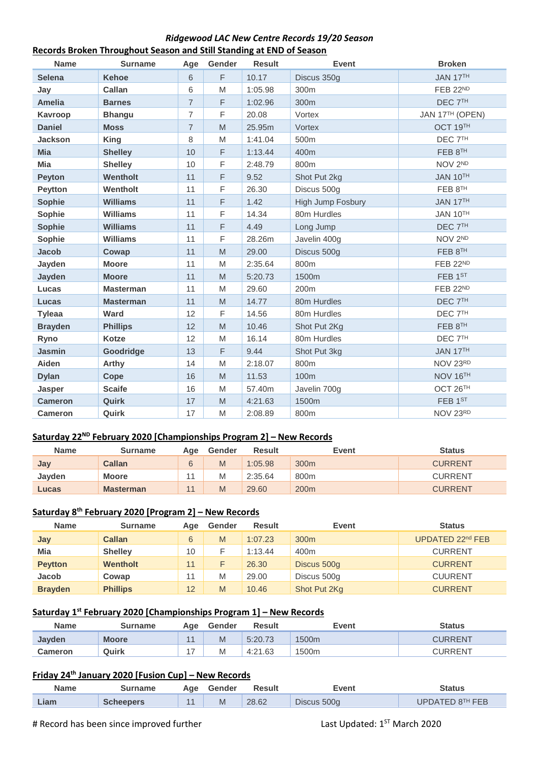### *Ridgewood LAC New Centre Records 19/20 Season* **Records Broken Throughout Season and Still Standing at END of Season**

| <b>Name</b>    | <b>Surname</b>   | Age            | Gender                                                                                                     | <b>Result</b> | <b>Event</b>      | <b>Broken</b>      |
|----------------|------------------|----------------|------------------------------------------------------------------------------------------------------------|---------------|-------------------|--------------------|
| <b>Selena</b>  | <b>Kehoe</b>     | 6              | F                                                                                                          | 10.17         | Discus 350g       | JAN 17TH           |
| Jay            | Callan           | 6              | M                                                                                                          | 1:05.98       | 300m              | FEB 22ND           |
| <b>Amelia</b>  | <b>Barnes</b>    | $\overline{7}$ | F                                                                                                          | 1:02.96       | 300m              | DEC <sub>7TH</sub> |
| Kavroop        | <b>Bhangu</b>    | $\overline{7}$ | F                                                                                                          | 20.08         | Vortex            | JAN 17TH (OPEN)    |
| <b>Daniel</b>  | <b>Moss</b>      | $\overline{7}$ | $\mathsf{M}% _{T}=\mathsf{M}_{T}\!\left( a,b\right) ,\ \mathsf{M}_{T}=\mathsf{M}_{T}\!\left( a,b\right) ,$ | 25.95m        | Vortex            | OCT 19TH           |
| <b>Jackson</b> | <b>King</b>      | 8              | M                                                                                                          | 1:41.04       | 500m              | DEC <sub>7TH</sub> |
| <b>Mia</b>     | <b>Shelley</b>   | 10             | F                                                                                                          | 1:13.44       | 400m              | FEB 8TH            |
| <b>Mia</b>     | <b>Shelley</b>   | 10             | F                                                                                                          | 2:48.79       | 800m              | NOV 2ND            |
| <b>Peyton</b>  | Wentholt         | 11             | $\mathsf F$                                                                                                | 9.52          | Shot Put 2kg      | <b>JAN 10TH</b>    |
| Peytton        | Wentholt         | 11             | F                                                                                                          | 26.30         | Discus 500g       | FEB 8TH            |
| <b>Sophie</b>  | <b>Williams</b>  | 11             | $\mathsf F$                                                                                                | 1.42          | High Jump Fosbury | JAN 17TH           |
| Sophie         | <b>Williams</b>  | 11             | F                                                                                                          | 14.34         | 80m Hurdles       | JAN 10TH           |
| <b>Sophie</b>  | <b>Williams</b>  | 11             | F                                                                                                          | 4.49          | Long Jump         | DEC <sub>7TH</sub> |
| Sophie         | <b>Williams</b>  | 11             | F                                                                                                          | 28.26m        | Javelin 400g      | NOV 2ND            |
| <b>Jacob</b>   | Cowap            | 11             | M                                                                                                          | 29.00         | Discus 500g       | FEB 8TH            |
| Jayden         | <b>Moore</b>     | 11             | M                                                                                                          | 2:35.64       | 800m              | <b>FEB 22ND</b>    |
| Jayden         | <b>Moore</b>     | 11             | $\mathsf{M}% _{T}=\mathsf{M}_{T}\!\left( a,b\right) ,\ \mathsf{M}_{T}=\mathsf{M}_{T}\!\left( a,b\right) ,$ | 5:20.73       | 1500m             | FEB 1ST            |
| Lucas          | <b>Masterman</b> | 11             | $\mathsf{M}% _{T}=\mathsf{M}_{T}\!\left( a,b\right) ,\ \mathsf{M}_{T}=\mathsf{M}_{T}\!\left( a,b\right) ,$ | 29.60         | 200m              | FEB 22ND           |
| Lucas          | <b>Masterman</b> | 11             | M                                                                                                          | 14.77         | 80m Hurdles       | DEC <sub>7TH</sub> |
| <b>Tyleaa</b>  | Ward             | 12             | F                                                                                                          | 14.56         | 80m Hurdles       | DEC <sub>7TH</sub> |
| <b>Brayden</b> | <b>Phillips</b>  | 12             | $\mathsf{M}% _{T}=\mathsf{M}_{T}\!\left( a,b\right) ,\ \mathsf{M}_{T}=\mathsf{M}_{T}\!\left( a,b\right) ,$ | 10.46         | Shot Put 2Kg      | FEB 8TH            |
| Ryno           | Kotze            | 12             | M                                                                                                          | 16.14         | 80m Hurdles       | DEC <sub>7TH</sub> |
| <b>Jasmin</b>  | Goodridge        | 13             | F                                                                                                          | 9.44          | Shot Put 3kg      | JAN 17TH           |
| Aiden          | <b>Arthy</b>     | 14             | M                                                                                                          | 2:18.07       | 800m              | NOV 23RD           |
| <b>Dylan</b>   | Cope             | 16             | $\mathsf{M}% _{T}=\mathsf{M}_{T}\!\left( a,b\right) ,\ \mathsf{M}_{T}=\mathsf{M}_{T}\!\left( a,b\right) ,$ | 11.53         | 100m              | NOV 16TH           |
| <b>Jasper</b>  | <b>Scaife</b>    | 16             | M                                                                                                          | 57.40m        | Javelin 700g      | OCT 26TH           |
| <b>Cameron</b> | Quirk            | 17             | M                                                                                                          | 4:21.63       | 1500m             | FEB 1ST            |
| <b>Cameron</b> | Quirk            | 17             | $\mathsf{M}% _{T}=\mathsf{M}_{T}\!\left( a,b\right) ,\ \mathsf{M}_{T}=\mathsf{M}_{T}\!\left( a,b\right) ,$ | 2:08.89       | 800m              | NOV 23RD           |

## **Saturday 22ND February 2020 [Championships Program 2] – New Records**

| <b>Name</b>   | Surname          | Age | Gender | Result  | Event            | Status         |
|---------------|------------------|-----|--------|---------|------------------|----------------|
| Jay           | <b>Callan</b>    | 6   | M      | 1:05.98 | 300 <sub>m</sub> | <b>CURRENT</b> |
| <b>Javden</b> | <b>Moore</b>     |     | M      | 2:35.64 | 800m             | <b>CURRENT</b> |
| Lucas         | <b>Masterman</b> | 11  | M      | 29.60   | 200 <sub>m</sub> | <b>CURRENT</b> |

# **Saturday 8th February 2020 [Program 2] – New Records**

| <b>Name</b>    | <b>Surname</b>  | Aae | Gender | <b>Result</b> | Event            | <b>Status</b>    |
|----------------|-----------------|-----|--------|---------------|------------------|------------------|
| Jay            | <b>Callan</b>   | 6   | M      | 1:07.23       | 300 <sub>m</sub> | UPDATED 22nd FEB |
| Mia            | <b>Shelley</b>  | 10  |        | 1:13.44       | 400m             | <b>CURRENT</b>   |
| <b>Peytton</b> | Wentholt        | 11  |        | 26.30         | Discus 500g      | <b>CURRENT</b>   |
| Jacob          | Cowap           | 11  | M      | 29.00         | Discus 500g      | <b>CUURENT</b>   |
| <b>Brayden</b> | <b>Phillips</b> | 12  | M      | 10.46         | Shot Put 2Kg     | <b>CURRENT</b>   |

#### **Saturday 1 st February 2020 [Championships Program 1] – New Records**

| <b>Name</b>    | Surname      | Aae            | Gender | <b>Result</b> | Event             | Status  |
|----------------|--------------|----------------|--------|---------------|-------------------|---------|
| <b>Javden</b>  | <b>Moore</b> | $\overline{A}$ | M      | 5:20.73       | 1500 <sub>m</sub> | CURRENT |
| <b>Cameron</b> | Quirk        |                | M      | 4:21.63       | 1500m             | CURRENT |

### **Friday 24th January 2020 [Fusion Cup] – New Records**

| <b>Name</b> | Surname   | Aae | Gender | <b>Result</b> | Event       | Status          |
|-------------|-----------|-----|--------|---------------|-------------|-----------------|
| Liam        | Scheepers |     | M      | 28.62         | Discus 500g | UPDATED 8TH FEB |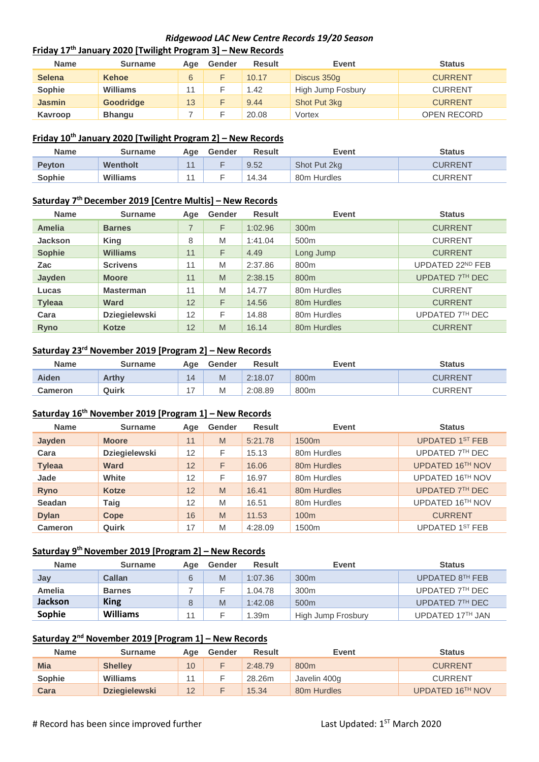### *Ridgewood LAC New Centre Records 19/20 Season* **Friday 17 th January 2020 [Twilight Program 3] – New Records**

| <b>Name</b>   | Surname          | Age | Gender | <b>Result</b> | <b>Event</b>      | <b>Status</b>      |
|---------------|------------------|-----|--------|---------------|-------------------|--------------------|
| <b>Selena</b> | <b>Kehoe</b>     | 6   |        | 10.17         | Discus 350g       | <b>CURRENT</b>     |
| <b>Sophie</b> | <b>Williams</b>  |     |        | 1.42          | High Jump Fosbury | <b>CURRENT</b>     |
| <b>Jasmin</b> | <b>Goodridge</b> | 13  |        | 9.44          | Shot Put 3kg      | <b>CURRENT</b>     |
| Kavroop       | <b>Bhangu</b>    |     |        | 20.08         | Vortex            | <b>OPEN RECORD</b> |

### **Friday 10th January 2020 [Twilight Program 2] – New Records**

| <b>Name</b>   | Surname  | Aae            | Gender | <b>Result</b> | Event        | Status         |
|---------------|----------|----------------|--------|---------------|--------------|----------------|
| <b>Peyton</b> | Wentholt | $\overline{4}$ |        | 9.52          | Shot Put 2kg | CURRENT        |
| Sophie        | Williams |                |        | 14.34         | 80m Hurdles  | <b>CURRENT</b> |

#### **Saturday 7 th December 2019 [Centre Multis] – New Records**

| <b>Name</b>    | <b>Surname</b>       | Age | Gender | <b>Result</b> | Event            | <b>Status</b>    |
|----------------|----------------------|-----|--------|---------------|------------------|------------------|
| Amelia         | <b>Barnes</b>        |     | F      | 1:02.96       | 300 <sub>m</sub> | <b>CURRENT</b>   |
| <b>Jackson</b> | <b>King</b>          | 8   | M      | 1:41.04       | 500 <sub>m</sub> | <b>CURRENT</b>   |
| <b>Sophie</b>  | <b>Williams</b>      | 11  | F      | 4.49          | Long Jump        | <b>CURRENT</b>   |
| Zac            | <b>Scrivens</b>      | 11  | M      | 2:37.86       | 800m             | UPDATED 22ND FEB |
| Jayden         | <b>Moore</b>         | 11  | M      | 2:38.15       | 800 <sub>m</sub> | UPDATED 7TH DEC  |
| Lucas          | <b>Masterman</b>     | 11  | M      | 14.77         | 80m Hurdles      | <b>CURRENT</b>   |
| <b>Tyleaa</b>  | Ward                 | 12  | F      | 14.56         | 80m Hurdles      | <b>CURRENT</b>   |
| Cara           | <b>Dziegielewski</b> | 12  | F      | 14.88         | 80m Hurdles      | UPDATED 7TH DEC  |
| <b>Ryno</b>    | Kotze                | 12  | M      | 16.14         | 80m Hurdles      | <b>CURRENT</b>   |

### **Saturday 23rd November 2019 [Program 2] – New Records**

| <b>Name</b>    | Surname | Age            | Gender | <b>Result</b> | Event | <b>Status</b>  |
|----------------|---------|----------------|--------|---------------|-------|----------------|
| Aiden          | Arthy   | 14             | M      | 2:18.07       | 800m  | <b>CURRENT</b> |
| <b>Cameron</b> | Quirk   | $\overline{ }$ | M      | 2:08.89       | 800m  | <b>CURRENT</b> |

### **Saturday 16th November 2019 [Program 1] – New Records**

| <b>Name</b>   | <b>Surname</b>       | Age | Gender | <b>Result</b> | Event             | <b>Status</b>          |
|---------------|----------------------|-----|--------|---------------|-------------------|------------------------|
| Jayden        | <b>Moore</b>         | 11  | M      | 5:21.78       | 1500 <sub>m</sub> | <b>UPDATED 1ST FEB</b> |
| Cara          | <b>Dziegielewski</b> | 12  | F      | 15.13         | 80m Hurdles       | UPDATED 7TH DEC        |
| <b>Tyleaa</b> | <b>Ward</b>          | 12  | F      | 16.06         | 80m Hurdles       | UPDATED 16TH NOV       |
| Jade          | White                | 12  | F      | 16.97         | 80m Hurdles       | UPDATED 16TH NOV       |
| <b>Ryno</b>   | <b>Kotze</b>         | 12  | M      | 16.41         | 80m Hurdles       | UPDATED 7TH DEC        |
| <b>Seadan</b> | Taig                 | 12  | M      | 16.51         | 80m Hurdles       | UPDATED 16TH NOV       |
| <b>Dylan</b>  | Cope                 | 16  | M      | 11.53         | 100 <sub>m</sub>  | <b>CURRENT</b>         |
| Cameron       | Quirk                | 17  | M      | 4:28.09       | 1500 <sub>m</sub> | UPDATED 1ST FEB        |

#### **Saturday 9 th November 2019 [Program 2] – New Records**

| <b>Name</b>    | <b>Surname</b>  | Age | Gender | <b>Result</b> | Event              | <b>Status</b>    |
|----------------|-----------------|-----|--------|---------------|--------------------|------------------|
| Jay            | Callan          |     | M      | 1:07.36       | 300 <sub>m</sub>   | UPDATED 8TH FEB  |
| <b>Amelia</b>  | <b>Barnes</b>   |     |        | 1.04.78       | 300 <sub>m</sub>   | UPDATED 7TH DEC  |
| <b>Jackson</b> | <b>King</b>     |     | M      | 1:42.08       | 500 <sub>m</sub>   | UPDATED 7TH DEC  |
| Sophie         | <b>Williams</b> |     |        | .39m          | High Jump Frosbury | UPDATED 17TH JAN |

#### **Saturday 2 nd November 2019 [Program 1] – New Records**

| <b>Name</b> | <b>Surname</b>       | Aae | Gender | Result  | Event                   | <b>Status</b>    |
|-------------|----------------------|-----|--------|---------|-------------------------|------------------|
| <b>Mia</b>  | <b>Shelley</b>       | 10  |        | 2:48.79 | 800m                    | <b>CURRENT</b>   |
| Sophie      | <b>Williams</b>      |     |        | 28.26m  | Javelin 400g            | <b>CURRENT</b>   |
| Cara        | <b>Dziegielewski</b> | 12  |        | 15.34   | 80 <sub>m</sub> Hurdles | UPDATED 16TH NOV |